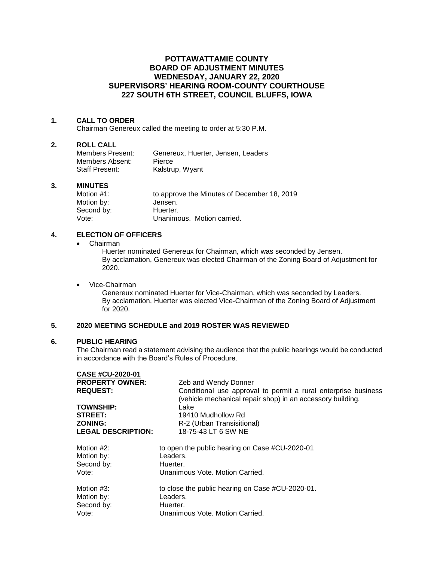# **POTTAWATTAMIE COUNTY BOARD OF ADJUSTMENT MINUTES WEDNESDAY, JANUARY 22, 2020 SUPERVISORS' HEARING ROOM-COUNTY COURTHOUSE 227 SOUTH 6TH STREET, COUNCIL BLUFFS, IOWA**

## **1. CALL TO ORDER**

Chairman Genereux called the meeting to order at 5:30 P.M.

### **2. ROLL CALL**

| Members Present:      | Genereux, Huerter, Jensen, Leaders |
|-----------------------|------------------------------------|
| Members Absent:       | <b>Pierce</b>                      |
| <b>Staff Present:</b> | Kalstrup, Wyant                    |

### **3. MINUTES**

| Motion #1: | to approve the Minutes of December 18, 2019 |
|------------|---------------------------------------------|
| Motion by: | Jensen.                                     |
| Second by: | Huerter.                                    |
| Vote:      | Unanimous. Motion carried.                  |

# **4. ELECTION OF OFFICERS**

• Chairman

Huerter nominated Genereux for Chairman, which was seconded by Jensen. By acclamation, Genereux was elected Chairman of the Zoning Board of Adjustment for 2020.

• Vice-Chairman

Genereux nominated Huerter for Vice-Chairman, which was seconded by Leaders. By acclamation, Huerter was elected Vice-Chairman of the Zoning Board of Adjustment for 2020.

## **5. 2020 MEETING SCHEDULE and 2019 ROSTER WAS REVIEWED**

#### **6. PUBLIC HEARING**

The Chairman read a statement advising the audience that the public hearings would be conducted in accordance with the Board's Rules of Procedure.

| <b>Zeb and Wendy Donner</b>                                                                                                  |  |  |
|------------------------------------------------------------------------------------------------------------------------------|--|--|
| Conditional use approval to permit a rural enterprise business<br>(vehicle mechanical repair shop) in an accessory building. |  |  |
| Lake                                                                                                                         |  |  |
| 19410 Mudhollow Rd                                                                                                           |  |  |
| R-2 (Urban Transisitional)                                                                                                   |  |  |
| 18-75-43 LT 6 SW NE                                                                                                          |  |  |
| to open the public hearing on Case #CU-2020-01                                                                               |  |  |
| Leaders.                                                                                                                     |  |  |
| Huerter.                                                                                                                     |  |  |
| Unanimous Vote, Motion Carried.                                                                                              |  |  |
| to close the public hearing on Case #CU-2020-01.                                                                             |  |  |
| Leaders.                                                                                                                     |  |  |
| Huerter.                                                                                                                     |  |  |
| Unanimous Vote, Motion Carried.                                                                                              |  |  |
|                                                                                                                              |  |  |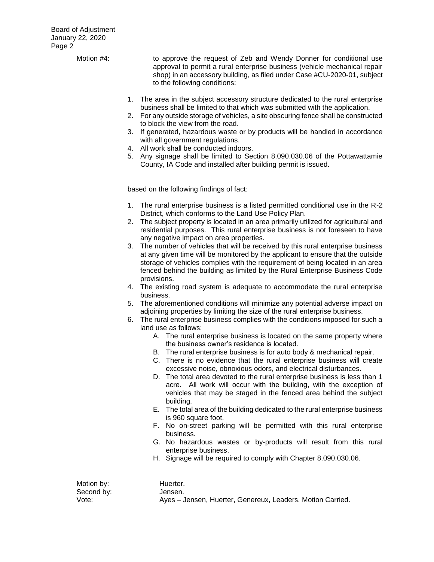Motion #4: to approve the request of Zeb and Wendy Donner for conditional use approval to permit a rural enterprise business (vehicle mechanical repair shop) in an accessory building, as filed under Case #CU-2020-01, subject to the following conditions: 1. The area in the subject accessory structure dedicated to the rural enterprise business shall be limited to that which was submitted with the application.

- 2. For any outside storage of vehicles, a site obscuring fence shall be constructed to block the view from the road.
- 3. If generated, hazardous waste or by products will be handled in accordance with all government regulations.
- 4. All work shall be conducted indoors.
- 5. Any signage shall be limited to Section 8.090.030.06 of the Pottawattamie County, IA Code and installed after building permit is issued.

based on the following findings of fact:

- 1. The rural enterprise business is a listed permitted conditional use in the R-2 District, which conforms to the Land Use Policy Plan.
- 2. The subject property is located in an area primarily utilized for agricultural and residential purposes. This rural enterprise business is not foreseen to have any negative impact on area properties.
- 3. The number of vehicles that will be received by this rural enterprise business at any given time will be monitored by the applicant to ensure that the outside storage of vehicles complies with the requirement of being located in an area fenced behind the building as limited by the Rural Enterprise Business Code provisions.
- 4. The existing road system is adequate to accommodate the rural enterprise business.
- 5. The aforementioned conditions will minimize any potential adverse impact on adjoining properties by limiting the size of the rural enterprise business.
- 6. The rural enterprise business complies with the conditions imposed for such a land use as follows:
	- A. The rural enterprise business is located on the same property where the business owner's residence is located.
	- B. The rural enterprise business is for auto body & mechanical repair.
	- C. There is no evidence that the rural enterprise business will create excessive noise, obnoxious odors, and electrical disturbances.
	- D. The total area devoted to the rural enterprise business is less than 1 acre. All work will occur with the building, with the exception of vehicles that may be staged in the fenced area behind the subject building.
	- E. The total area of the building dedicated to the rural enterprise business is 960 square foot.
	- F. No on-street parking will be permitted with this rural enterprise business.
	- G. No hazardous wastes or by-products will result from this rural enterprise business.
	- H. Signage will be required to comply with Chapter 8.090.030.06.

Motion by: Huerter. Second by: Jensen.

Vote: Ayes – Jensen, Huerter, Genereux, Leaders. Motion Carried.